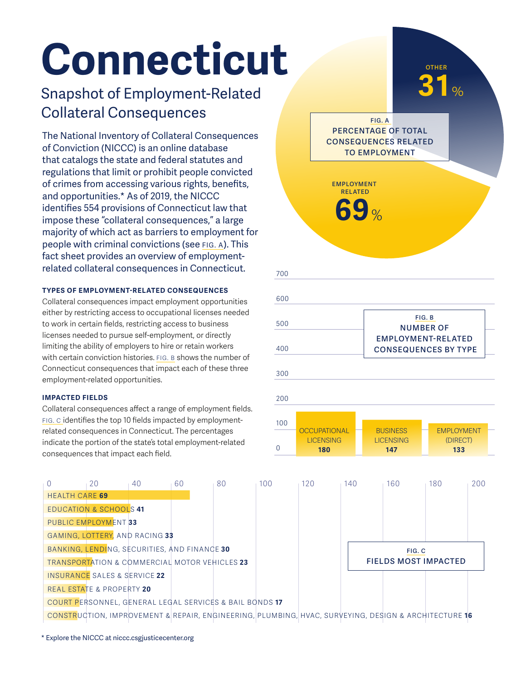# **Connecticut**

## Snapshot of Employment-Related Collateral Consequences

The National Inventory of Collateral Consequences of Conviction (NICCC) is an online database that catalogs the state and federal statutes and regulations that limit or prohibit people convicted of crimes from accessing various rights, benefits, and opportunities.\* As of 2019, the NICCC identifies 554 provisions of Connecticut law that impose these "collateral consequences," a large majority of which act as barriers to employment for people with criminal convictions (see FIG. A). This fact sheet provides an overview of employmentrelated collateral consequences in Connecticut.

## **TYPES OF EMPLOYMENT-RELATED CONSEQUENCES**

Collateral consequences impact employment opportunities either by restricting access to occupational licenses needed to work in certain fields, restricting access to business licenses needed to pursue self-employment, or directly limiting the ability of employers to hire or retain workers with certain conviction histories. FIG. B shows the number of Connecticut consequences that impact each of these three employment-related opportunities.

## **IMPACTED FIELDS**

HEALTH CARE **69**

EDUCATION & SCHOOLS **41** PUBLIC EMPLOYMENT **33**

GAMING, LOTTERY, AND RACING **33**

INSURANCE SALES & SERVICE **22** REAL ESTATE & PROPERTY **20**

BANKING, LENDING, SECURITIES, AND FINANCE **30** TRANSPORTATION & COMMERCIAL MOTOR VEHICLES **23**

COURT PERSONNEL, GENERAL LEGAL SERVICES & BAIL BONDS **17**

Collateral consequences affect a range of employment fields. FIG. C identifies the top 10 fields impacted by employmentrelated consequences in Connecticut. The percentages indicate the portion of the state's total employment-related consequences that impact each field.



CONSTRUCTION, IMPROVEMENT & REPAIR, ENGINEERING, PLUMBING, HVAC, SURVEYING, DESIGN & ARCHITECTURE **16**